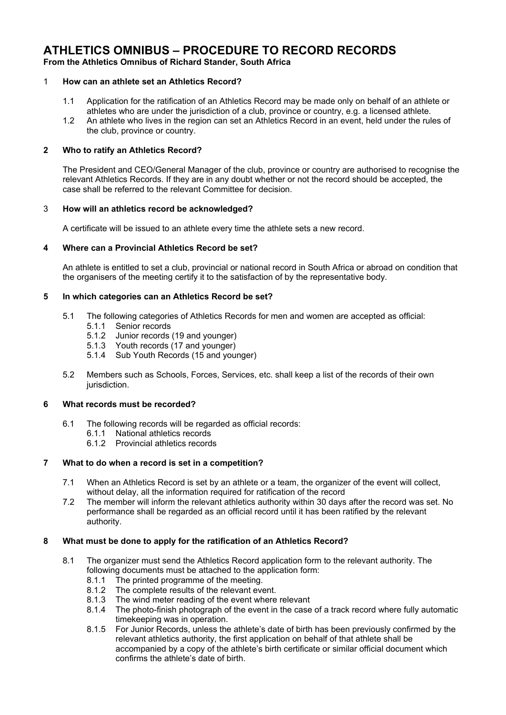# **ATHLETICS OMNIBUS – PROCEDURE TO RECORD RECORDS**

**From the Athletics Omnibus of Richard Stander, South Africa**

# 1 **How can an athlete set an Athletics Record?**

- 1.1 Application for the ratification of an Athletics Record may be made only on behalf of an athlete or athletes who are under the jurisdiction of a club, province or country, e.g. a licensed athlete.
- 1.2 An athlete who lives in the region can set an Athletics Record in an event, held under the rules of the club, province or country.

# **2 Who to ratify an Athletics Record?**

The President and CEO/General Manager of the club, province or country are authorised to recognise the relevant Athletics Records. If they are in any doubt whether or not the record should be accepted, the case shall be referred to the relevant Committee for decision.

# 3 **How will an athletics record be acknowledged?**

A certificate will be issued to an athlete every time the athlete sets a new record.

# **4 Where can a Provincial Athletics Record be set?**

An athlete is entitled to set a club, provincial or national record in South Africa or abroad on condition that the organisers of the meeting certify it to the satisfaction of by the representative body.

# **5 In which categories can an Athletics Record be set?**

- 5.1 The following categories of Athletics Records for men and women are accepted as official:
	- 5.1.1 Senior records
	- 5.1.2 Junior records (19 and younger)
	- 5.1.3 Youth records (17 and younger)
	- 5.1.4 Sub Youth Records (15 and younger)
- 5.2 Members such as Schools, Forces, Services, etc. shall keep a list of the records of their own jurisdiction.

#### **6 What records must be recorded?**

- 6.1 The following records will be regarded as official records:
	- 6.1.1 National athletics records
	- 6.1.2 Provincial athletics records

# **7 What to do when a record is set in a competition?**

- 7.1 When an Athletics Record is set by an athlete or a team, the organizer of the event will collect, without delay, all the information required for ratification of the record
- 7.2 The member will inform the relevant athletics authority within 30 days after the record was set. No performance shall be regarded as an official record until it has been ratified by the relevant authority.

#### **8 What must be done to apply for the ratification of an Athletics Record?**

- 8.1 The organizer must send the Athletics Record application form to the relevant authority. The following documents must be attached to the application form:
	- 8.1.1 The printed programme of the meeting.
	- 8.1.2 The complete results of the relevant event.
	- 8.1.3 The wind meter reading of the event where relevant
	- 8.1.4 The photo-finish photograph of the event in the case of a track record where fully automatic timekeeping was in operation.
	- 8.1.5 For Junior Records, unless the athlete's date of birth has been previously confirmed by the relevant athletics authority, the first application on behalf of that athlete shall be accompanied by a copy of the athlete's birth certificate or similar official document which confirms the athlete's date of birth.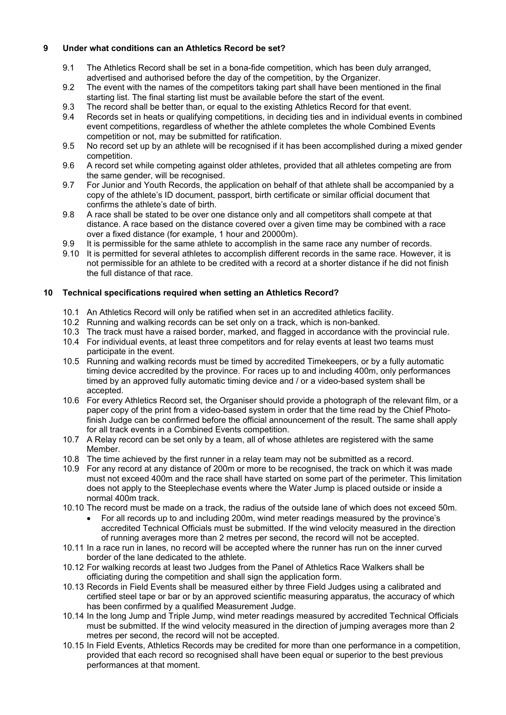# **9 Under what conditions can an Athletics Record be set?**

- 9.1 The Athletics Record shall be set in a bona-fide competition, which has been duly arranged, advertised and authorised before the day of the competition, by the Organizer.
- 9.2 The event with the names of the competitors taking part shall have been mentioned in the final starting list. The final starting list must be available before the start of the event.
- 9.3 The record shall be better than, or equal to the existing Athletics Record for that event.
- 9.4 Records set in heats or qualifying competitions, in deciding ties and in individual events in combined event competitions, regardless of whether the athlete completes the whole Combined Events competition or not, may be submitted for ratification.
- 9.5 No record set up by an athlete will be recognised if it has been accomplished during a mixed gender competition.
- 9.6 A record set while competing against older athletes, provided that all athletes competing are from the same gender, will be recognised.
- 9.7 For Junior and Youth Records, the application on behalf of that athlete shall be accompanied by a copy of the athlete's ID document, passport, birth certificate or similar official document that confirms the athlete's date of birth.
- 9.8 A race shall be stated to be over one distance only and all competitors shall compete at that distance. A race based on the distance covered over a given time may be combined with a race over a fixed distance (for example, 1 hour and 20000m).
- 9.9 It is permissible for the same athlete to accomplish in the same race any number of records.
- 9.10 It is permitted for several athletes to accomplish different records in the same race. However, it is not permissible for an athlete to be credited with a record at a shorter distance if he did not finish the full distance of that race.

# **10 Technical specifications required when setting an Athletics Record?**

- 10.1 An Athletics Record will only be ratified when set in an accredited athletics facility.
- 10.2 Running and walking records can be set only on a track, which is non-banked.
- 10.3 The track must have a raised border, marked, and flagged in accordance with the provincial rule.
- 10.4 For individual events, at least three competitors and for relay events at least two teams must participate in the event.
- 10.5 Running and walking records must be timed by accredited Timekeepers, or by a fully automatic timing device accredited by the province. For races up to and including 400m, only performances timed by an approved fully automatic timing device and / or a video-based system shall be accepted.
- 10.6 For every Athletics Record set, the Organiser should provide a photograph of the relevant film, or a paper copy of the print from a video-based system in order that the time read by the Chief Photofinish Judge can be confirmed before the official announcement of the result. The same shall apply for all track events in a Combined Events competition.
- 10.7 A Relay record can be set only by a team, all of whose athletes are registered with the same Member.
- 10.8 The time achieved by the first runner in a relay team may not be submitted as a record.
- 10.9 For any record at any distance of 200m or more to be recognised, the track on which it was made must not exceed 400m and the race shall have started on some part of the perimeter. This limitation does not apply to the Steeplechase events where the Water Jump is placed outside or inside a normal 400m track.
- 10.10 The record must be made on a track, the radius of the outside lane of which does not exceed 50m.
	- For all records up to and including 200m, wind meter readings measured by the province's accredited Technical Officials must be submitted. If the wind velocity measured in the direction of running averages more than 2 metres per second, the record will not be accepted.
- 10.11 In a race run in lanes, no record will be accepted where the runner has run on the inner curved border of the lane dedicated to the athlete.
- 10.12 For walking records at least two Judges from the Panel of Athletics Race Walkers shall be officiating during the competition and shall sign the application form.
- 10.13 Records in Field Events shall be measured either by three Field Judges using a calibrated and certified steel tape or bar or by an approved scientific measuring apparatus, the accuracy of which has been confirmed by a qualified Measurement Judge.
- 10.14 In the long Jump and Triple Jump, wind meter readings measured by accredited Technical Officials must be submitted. If the wind velocity measured in the direction of jumping averages more than 2 metres per second, the record will not be accepted.
- 10.15 In Field Events, Athletics Records may be credited for more than one performance in a competition, provided that each record so recognised shall have been equal or superior to the best previous performances at that moment.